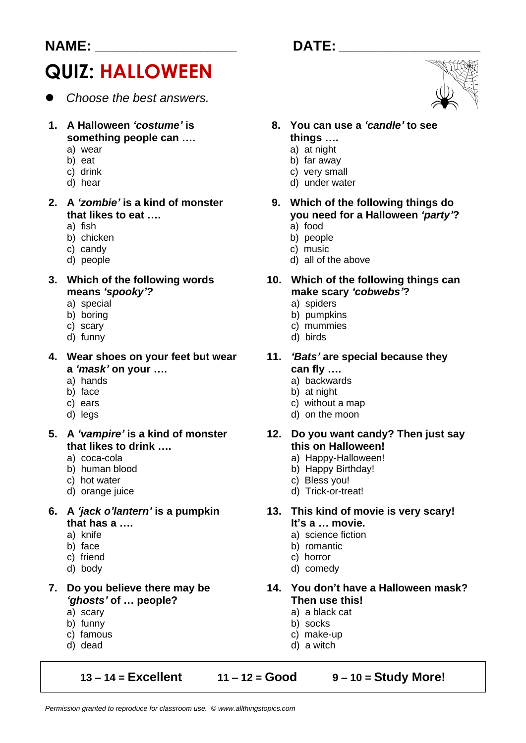#### **NAME: \_\_\_\_\_\_\_\_\_\_\_\_\_\_\_\_\_\_\_\_\_\_\_\_ DATE: \_\_\_\_\_\_\_\_\_\_\_\_\_\_\_\_\_\_\_\_\_\_\_\_**

# **QUIZ: HALLOWEEN**

- ⚫ *Choose the best answers.*
- **something people can …. things ….**
	-
	-
	-
	-

- 
- b) chicken
- c) candy c) music
- 

**means** *'spooky'?* **make scary** *'cobwebs'***?**

- a) special a) spiders<br>b) boring b) boring
- 
- 
- d) funny

**4. Wear shoes on your feet but wear 11.** *'Bats'* **are special because they a** *'mask'* **on your …. can fly ….**

- 
- 
- 
- 
- **that likes to drink …. this on Halloween!**
	-
	-
	-
	-
- **that has a …. It's a … movie.**
	-
	-
	-
	-
- *'ghosts'* **of … people? Then use this!**
	-
	- b) funny
	- c) famous c) make-up
	-

**13 – 14 = Excellent 11 – 12 = Good 9 – 10 = Study More!**



- **1. A Halloween** *'costume'* **is 8. You can use a** *'candle'* **to see** 
	- a) wear a) at night
	- b) eat b) far away<br>c) drink c) very small
	- c) drink c) drink c) very small d) hear d) hear d) under water and d) under water d
		- d) under water
- **2. A** *'zombie'* **is a kind of monster 9. Which of the following things do that likes to eat …. you need for a Halloween 'party'?**<br>a) fish
	- a) food<br>b) people
	-
	- d) people d) all of the above

# **3. Which of the following words 10. Which of the following things can**

- 
- b) boring b) boring b) pumpkins c) scary b) pumpkins c) controlled b mummies
	- c) mummies<br>d) birds
	-

- a) hands a) backwards a) backwards b) face
	- b) at night
- c) ears c) ears c) without a map d) legs
	- d) on the moon

# **5. A** *'vampire'* **is a kind of monster 12. Do you want candy? Then just say**

- a) coca-cola a) Happy-Halloween!
- b) human blood b) Happy Birthday!
- c) hot water c) bless you!
- d) orange juice d) Trick-or-treat!

## **6. A** *'jack o'lantern'* **is a pumpkin 13. This kind of movie is very scary!**

- a) knife a) science fiction
- b) face b) romantic
- c) friend c) horror
- d) body d) comedy
- **7. Do you believe there may be 14. You don't have a Halloween mask?**
	- a) scary a) a black cat<br>b) funny b) socks
		-
		-
	- d) dead d) a witch